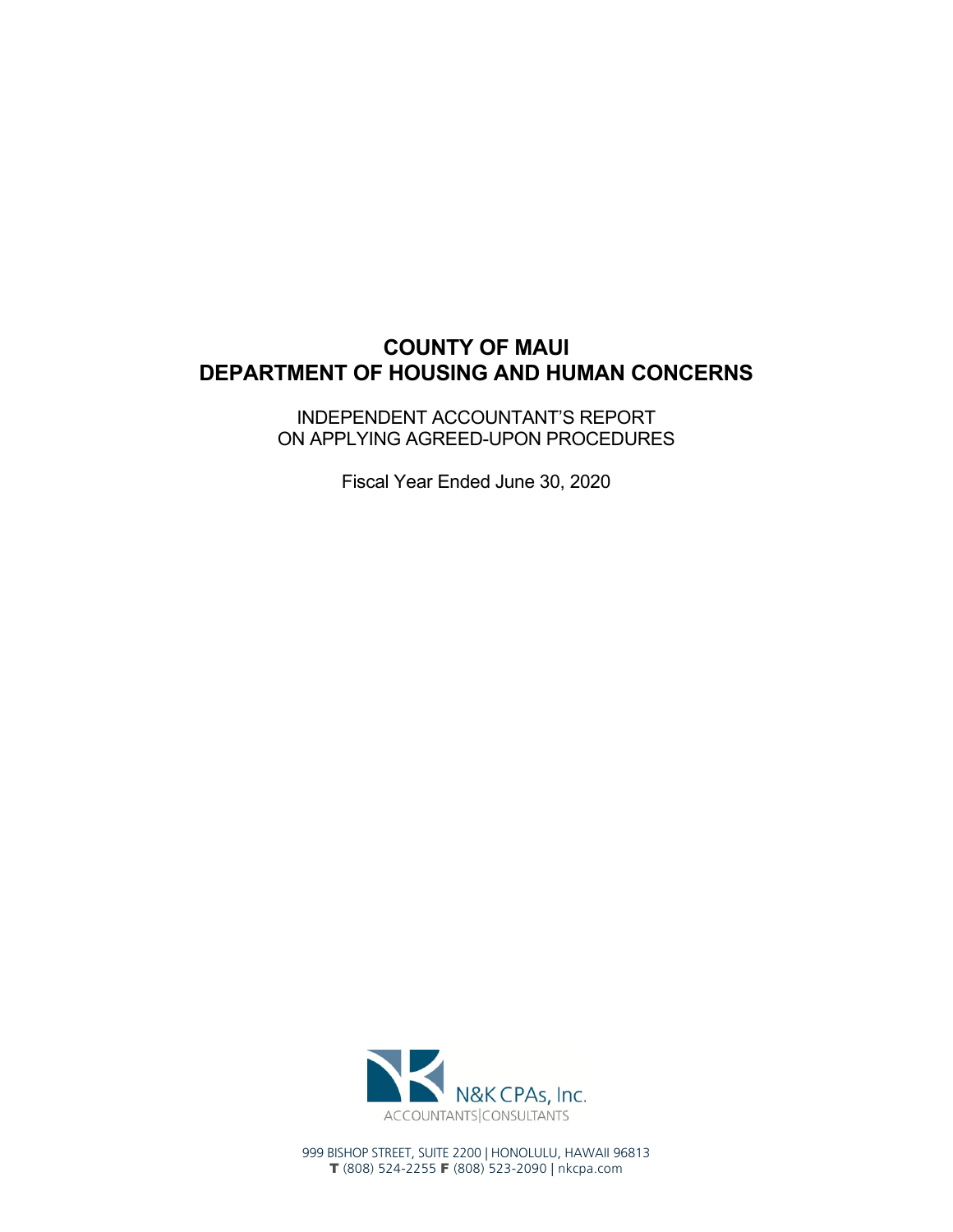# **COUNTY OF MAUI DEPARTMENT OF HOUSING AND HUMAN CONCERNS**

INDEPENDENT ACCOUNTANT'S REPORT ON APPLYING AGREED-UPON PROCEDURES

Fiscal Year Ended June 30, 2020



999 BISHOP STREET, SUITE 2200 | HONOLULU, HAWAII 96813 T (808) 524-2255 F (808) 523-2090 | nkcpa.com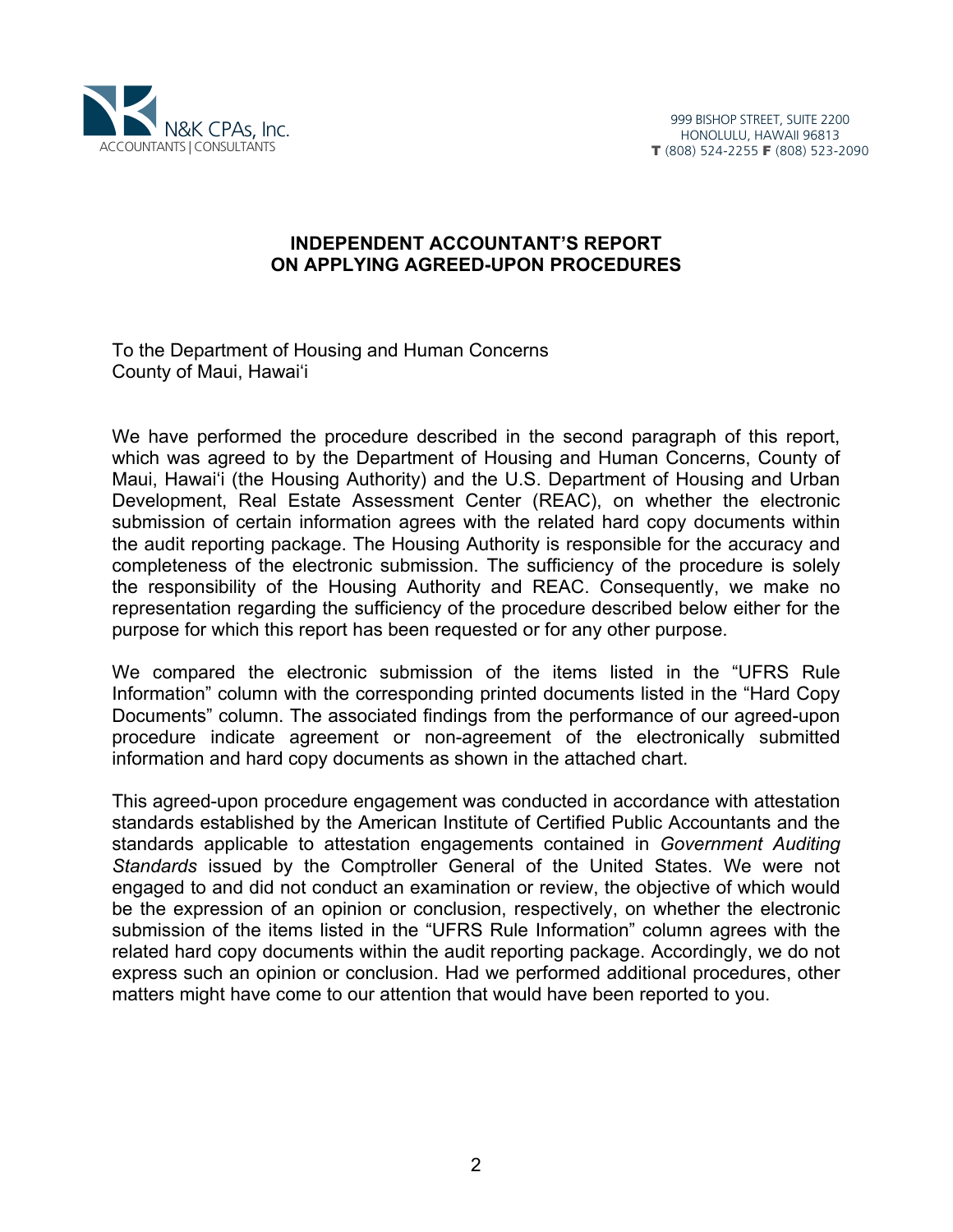

#### **INDEPENDENT ACCOUNTANT'S REPORT ON APPLYING AGREED-UPON PROCEDURES**

To the Department of Housing and Human Concerns County of Maui, Hawai'i

We have performed the procedure described in the second paragraph of this report, which was agreed to by the Department of Housing and Human Concerns, County of Maui, Hawai'i (the Housing Authority) and the U.S. Department of Housing and Urban Development, Real Estate Assessment Center (REAC), on whether the electronic submission of certain information agrees with the related hard copy documents within the audit reporting package. The Housing Authority is responsible for the accuracy and completeness of the electronic submission. The sufficiency of the procedure is solely the responsibility of the Housing Authority and REAC. Consequently, we make no representation regarding the sufficiency of the procedure described below either for the purpose for which this report has been requested or for any other purpose.

We compared the electronic submission of the items listed in the "UFRS Rule Information" column with the corresponding printed documents listed in the "Hard Copy Documents" column. The associated findings from the performance of our agreed-upon procedure indicate agreement or non-agreement of the electronically submitted information and hard copy documents as shown in the attached chart.

This agreed-upon procedure engagement was conducted in accordance with attestation standards established by the American Institute of Certified Public Accountants and the standards applicable to attestation engagements contained in *Government Auditing Standards* issued by the Comptroller General of the United States. We were not engaged to and did not conduct an examination or review, the objective of which would be the expression of an opinion or conclusion, respectively, on whether the electronic submission of the items listed in the "UFRS Rule Information" column agrees with the related hard copy documents within the audit reporting package. Accordingly, we do not express such an opinion or conclusion. Had we performed additional procedures, other matters might have come to our attention that would have been reported to you.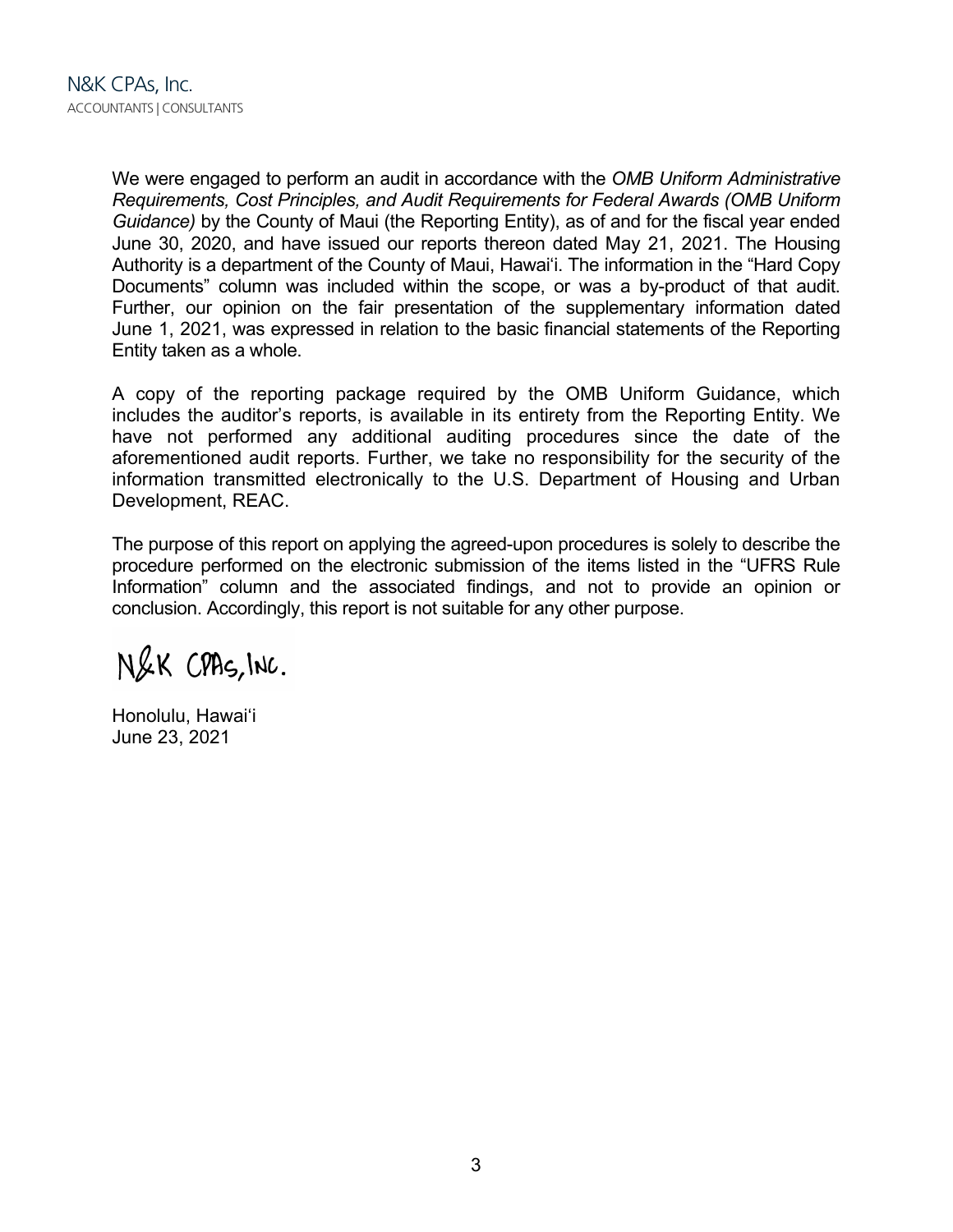We were engaged to perform an audit in accordance with the *OMB Uniform Administrative Requirements, Cost Principles, and Audit Requirements for Federal Awards (OMB Uniform Guidance)* by the County of Maui (the Reporting Entity), as of and for the fiscal year ended June 30, 2020, and have issued our reports thereon dated May 21, 2021. The Housing Authority is a department of the County of Maui, Hawai'i. The information in the "Hard Copy Documents" column was included within the scope, or was a by-product of that audit. Further, our opinion on the fair presentation of the supplementary information dated June 1, 2021, was expressed in relation to the basic financial statements of the Reporting Entity taken as a whole.

A copy of the reporting package required by the OMB Uniform Guidance, which includes the auditor's reports, is available in its entirety from the Reporting Entity. We have not performed any additional auditing procedures since the date of the aforementioned audit reports. Further, we take no responsibility for the security of the information transmitted electronically to the U.S. Department of Housing and Urban Development, REAC.

The purpose of this report on applying the agreed-upon procedures is solely to describe the procedure performed on the electronic submission of the items listed in the "UFRS Rule Information" column and the associated findings, and not to provide an opinion or conclusion. Accordingly, this report is not suitable for any other purpose.

N&K CPAS, INC.

Honolulu, Hawai'i June 23, 2021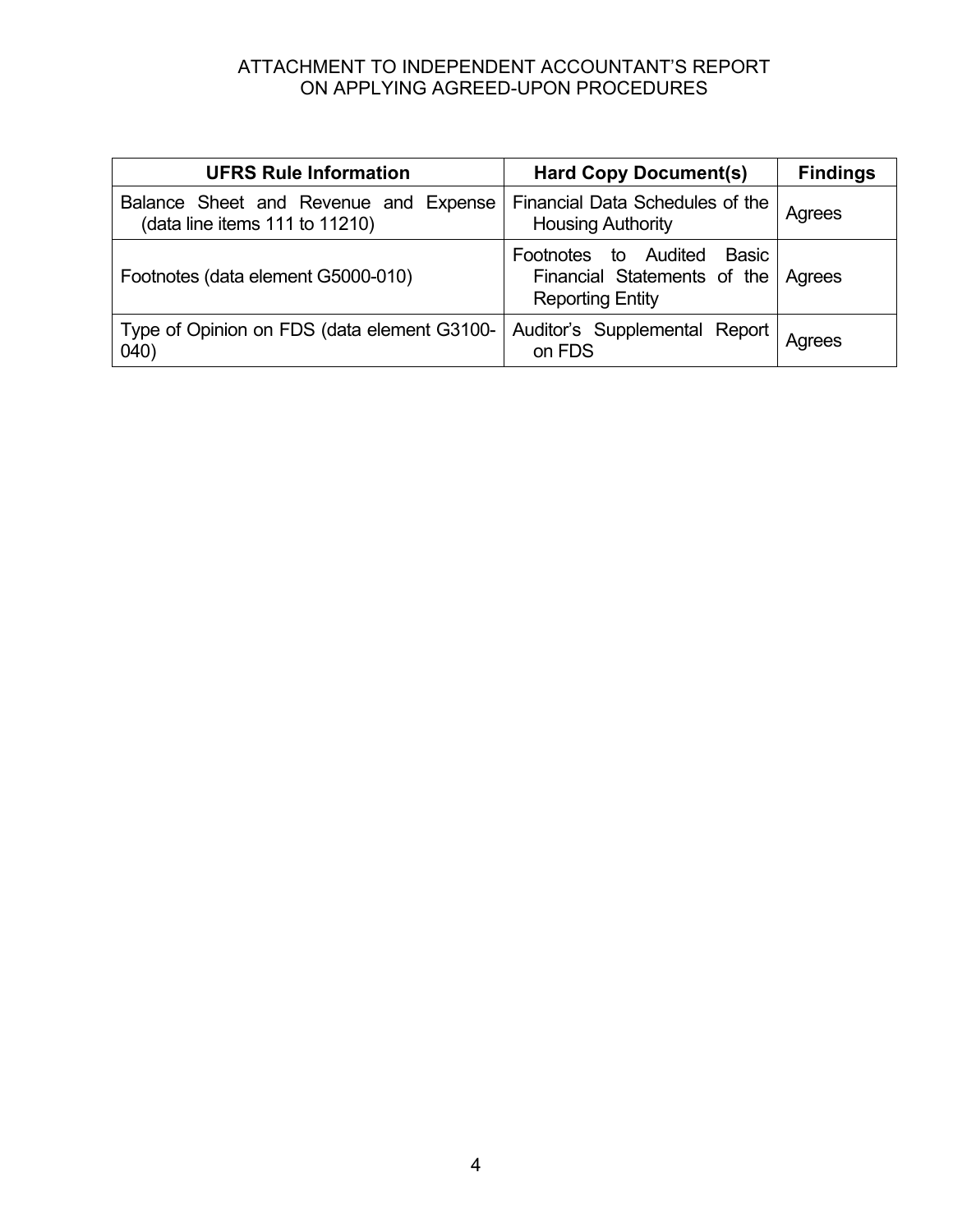## ATTACHMENT TO INDEPENDENT ACCOUNTANT'S REPORT ON APPLYING AGREED-UPON PROCEDURES

| <b>UFRS Rule Information</b>                                            | <b>Hard Copy Document(s)</b>                                                                   | <b>Findings</b> |
|-------------------------------------------------------------------------|------------------------------------------------------------------------------------------------|-----------------|
| Balance Sheet and Revenue and Expense<br>(data line items 111 to 11210) | Financial Data Schedules of the<br><b>Housing Authority</b>                                    | Agrees          |
| Footnotes (data element G5000-010)                                      | Basic<br>Footnotes to Audited<br>Financial Statements of the Agrees<br><b>Reporting Entity</b> |                 |
| Type of Opinion on FDS (data element G3100-<br>040)                     | Auditor's Supplemental Report  <br>on FDS                                                      | Agrees          |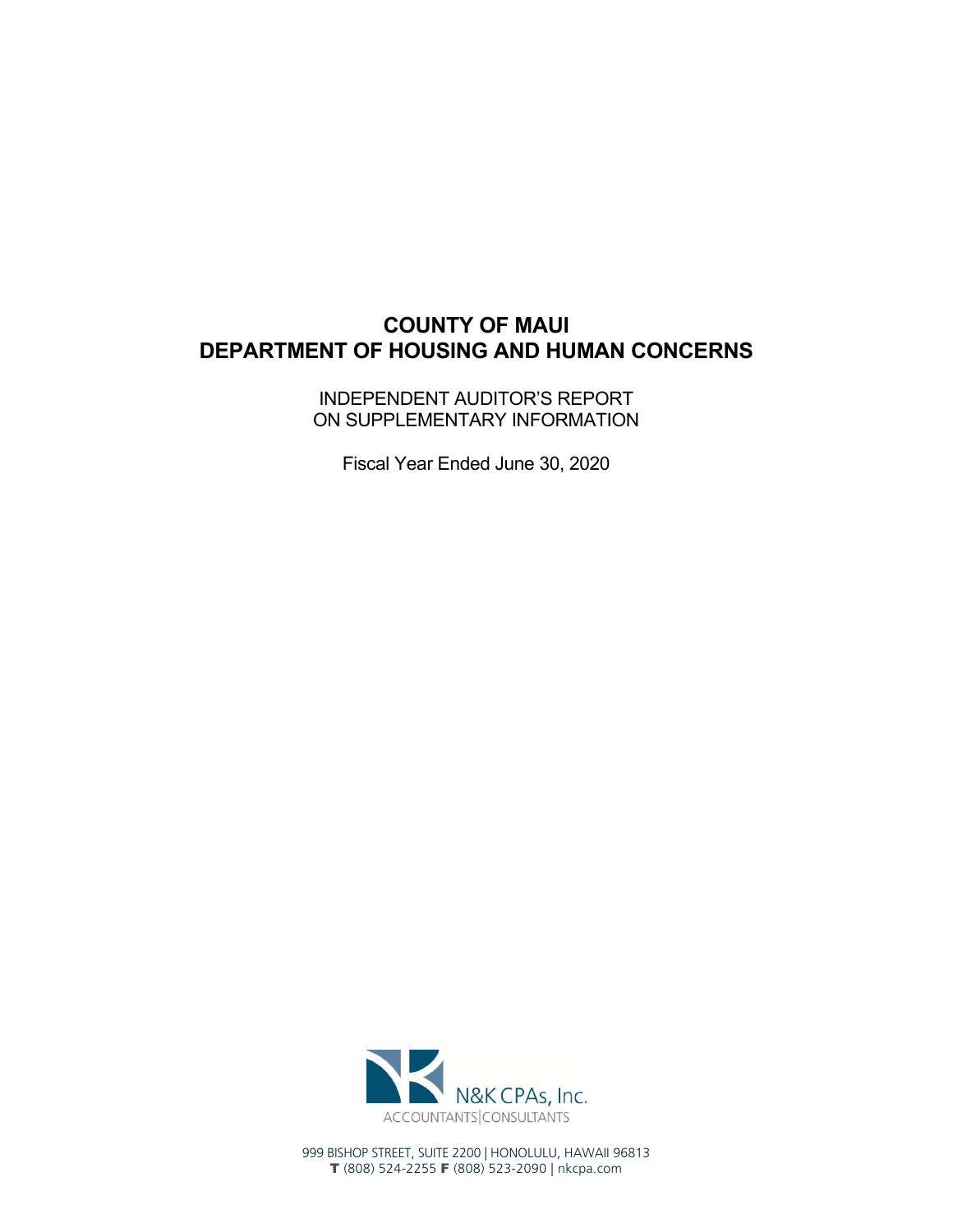# **COUNTY OF MAUI DEPARTMENT OF HOUSING AND HUMAN CONCERNS**

INDEPENDENT AUDITOR'S REPORT ON SUPPLEMENTARY INFORMATION

Fiscal Year Ended June 30, 2020



999 BISHOP STREET, SUITE 2200 | HONOLULU, HAWAII 96813 T (808) 524-2255 F (808) 523-2090 | nkcpa.com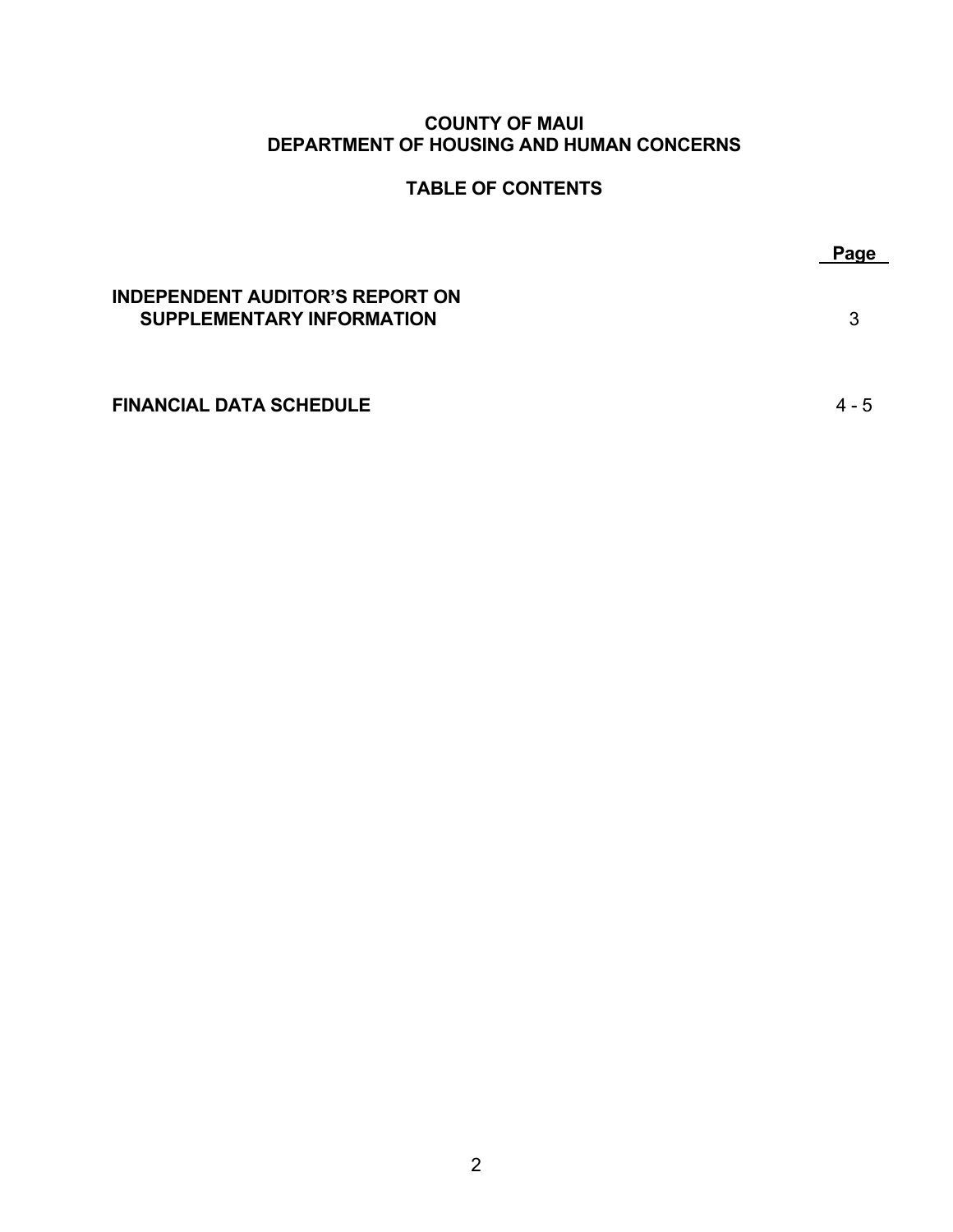## **COUNTY OF MAUI DEPARTMENT OF HOUSING AND HUMAN CONCERNS**

## **TABLE OF CONTENTS**

|                                                                            | Page |
|----------------------------------------------------------------------------|------|
| <b>INDEPENDENT AUDITOR'S REPORT ON</b><br><b>SUPPLEMENTARY INFORMATION</b> | 3    |
| <b>FINANCIAL DATA SCHEDULE</b>                                             |      |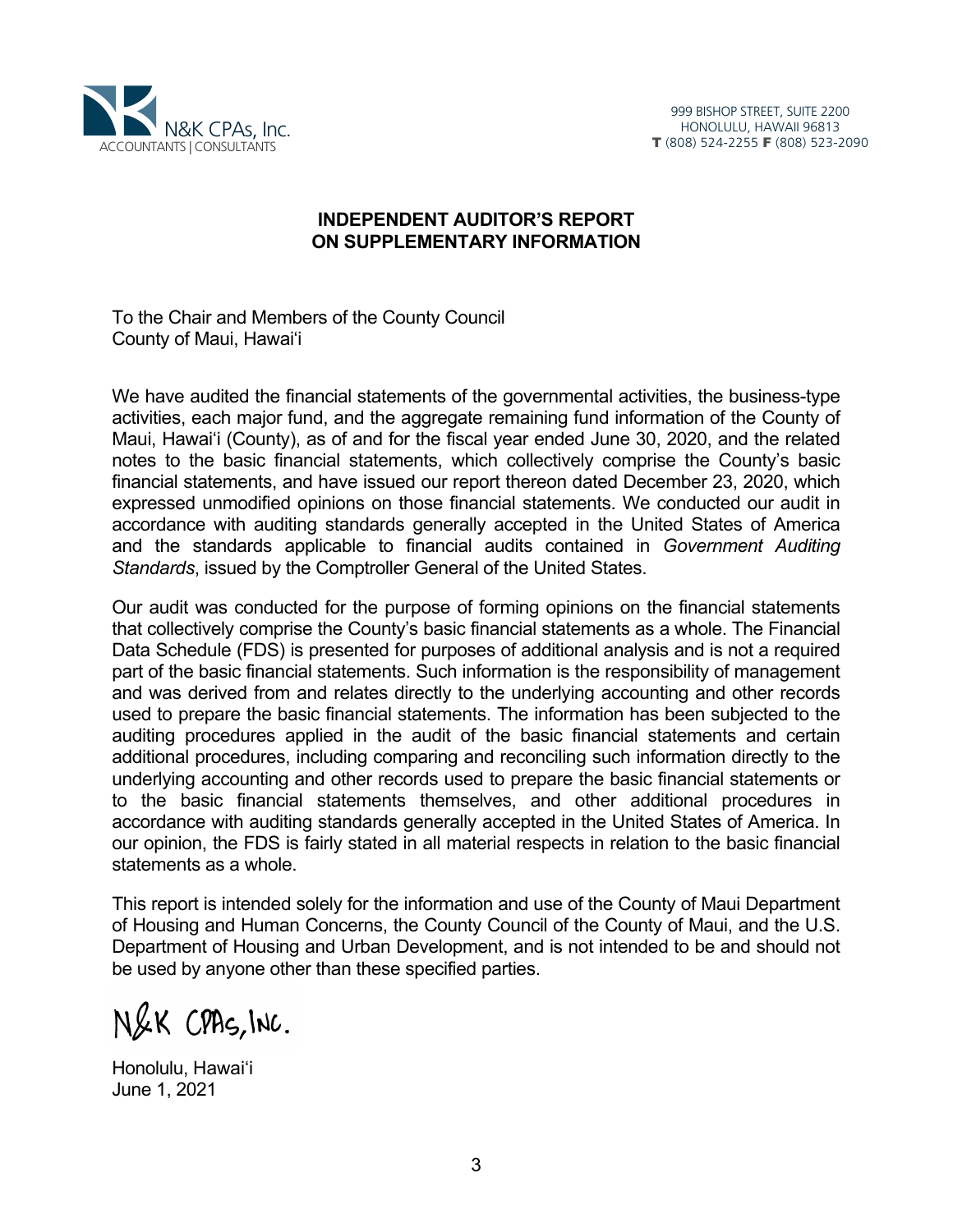

## **INDEPENDENT AUDITOR'S REPORT ON SUPPLEMENTARY INFORMATION**

To the Chair and Members of the County Council County of Maui, Hawai'i

We have audited the financial statements of the governmental activities, the business-type activities, each major fund, and the aggregate remaining fund information of the County of Maui, Hawai'i (County), as of and for the fiscal year ended June 30, 2020, and the related notes to the basic financial statements, which collectively comprise the County's basic financial statements, and have issued our report thereon dated December 23, 2020, which expressed unmodified opinions on those financial statements. We conducted our audit in accordance with auditing standards generally accepted in the United States of America and the standards applicable to financial audits contained in *Government Auditing Standards*, issued by the Comptroller General of the United States.

Our audit was conducted for the purpose of forming opinions on the financial statements that collectively comprise the County's basic financial statements as a whole. The Financial Data Schedule (FDS) is presented for purposes of additional analysis and is not a required part of the basic financial statements. Such information is the responsibility of management and was derived from and relates directly to the underlying accounting and other records used to prepare the basic financial statements. The information has been subjected to the auditing procedures applied in the audit of the basic financial statements and certain additional procedures, including comparing and reconciling such information directly to the underlying accounting and other records used to prepare the basic financial statements or to the basic financial statements themselves, and other additional procedures in accordance with auditing standards generally accepted in the United States of America. In our opinion, the FDS is fairly stated in all material respects in relation to the basic financial statements as a whole.

This report is intended solely for the information and use of the County of Maui Department of Housing and Human Concerns, the County Council of the County of Maui, and the U.S. Department of Housing and Urban Development, and is not intended to be and should not be used by anyone other than these specified parties.

N&K CPAS, INC.

Honolulu, Hawai'i June 1, 2021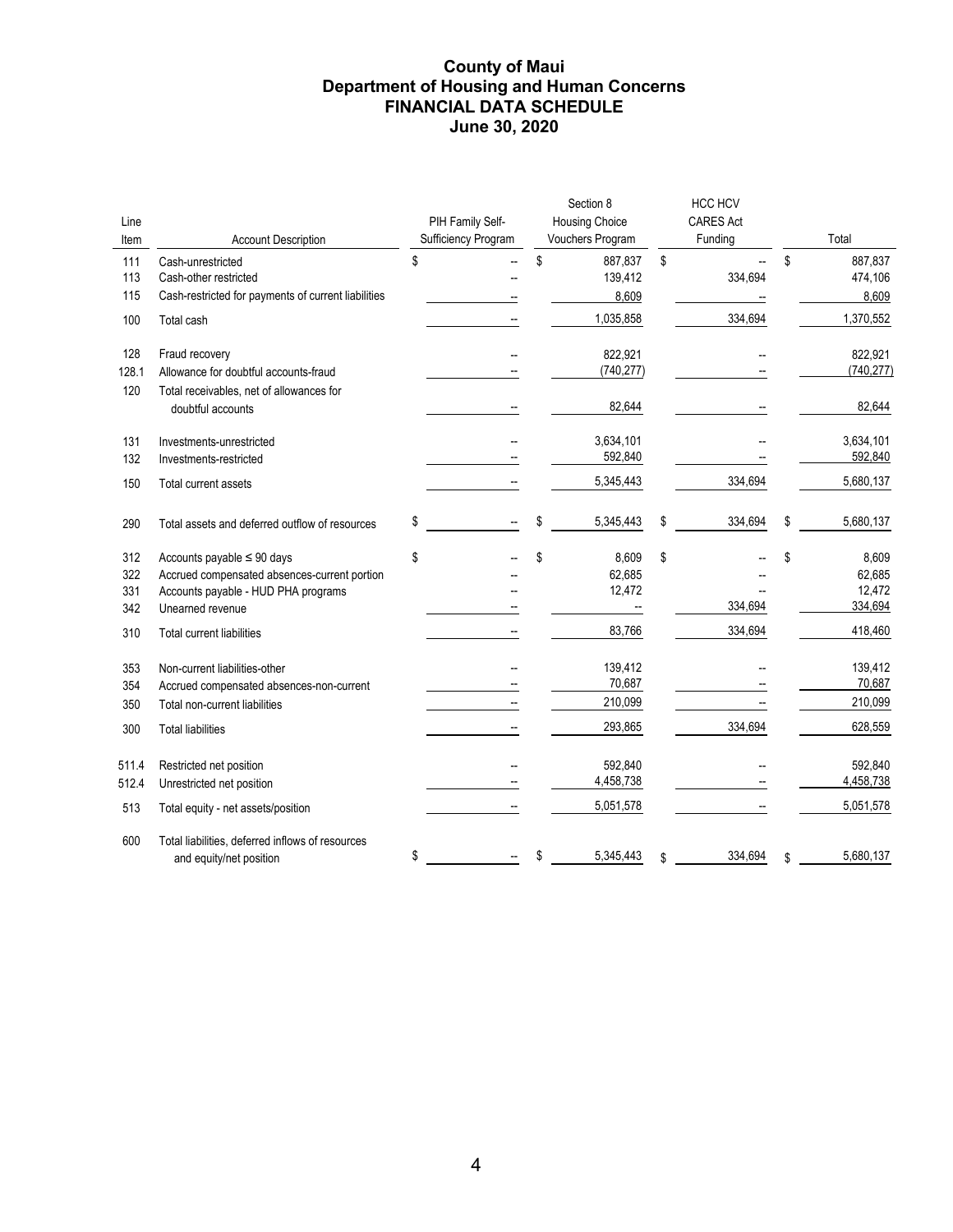#### **County of Maui Department of Housing and Human Concerns FINANCIAL DATA SCHEDULE June 30, 2020**

| Line<br>Item             | <b>Account Description</b>                                                                                                                 | PIH Family Self-<br>Sufficiency Program | Section 8<br><b>Housing Choice</b><br>Vouchers Program | <b>HCC HCV</b><br><b>CARES Act</b><br>Funding | Total                                      |
|--------------------------|--------------------------------------------------------------------------------------------------------------------------------------------|-----------------------------------------|--------------------------------------------------------|-----------------------------------------------|--------------------------------------------|
| 111<br>113<br>115        | Cash-unrestricted<br>Cash-other restricted<br>Cash-restricted for payments of current liabilities                                          | \$                                      | \$<br>887,837<br>139,412<br>8,609                      | \$<br>334,694                                 | \$<br>887,837<br>474,106<br>8,609          |
| 100                      | Total cash                                                                                                                                 |                                         | 1,035,858                                              | 334,694                                       | 1,370,552                                  |
| 128<br>128.1<br>120      | Fraud recovery<br>Allowance for doubtful accounts-fraud<br>Total receivables, net of allowances for                                        |                                         | 822,921<br>(740, 277)                                  |                                               | 822,921<br>(740, 277)                      |
|                          | doubtful accounts                                                                                                                          |                                         | 82,644                                                 |                                               | 82,644                                     |
| 131<br>132               | Investments-unrestricted<br>Investments-restricted                                                                                         |                                         | 3,634,101<br>592,840                                   |                                               | 3,634,101<br>592,840                       |
| 150                      | Total current assets                                                                                                                       |                                         | 5,345,443                                              | 334,694                                       | 5,680,137                                  |
| 290                      | Total assets and deferred outflow of resources                                                                                             | \$                                      | \$<br>5,345,443                                        | \$<br>334,694                                 | \$<br>5,680,137                            |
| 312<br>322<br>331<br>342 | Accounts payable $\leq 90$ days<br>Accrued compensated absences-current portion<br>Accounts payable - HUD PHA programs<br>Unearned revenue | \$                                      | \$<br>8,609<br>62,685<br>12,472                        | \$<br>334,694                                 | \$<br>8,609<br>62,685<br>12,472<br>334,694 |
| 310                      | <b>Total current liabilities</b>                                                                                                           |                                         | 83,766                                                 | 334,694                                       | 418,460                                    |
| 353<br>354<br>350        | Non-current liabilities-other<br>Accrued compensated absences-non-current<br>Total non-current liabilities                                 |                                         | 139,412<br>70,687<br>210,099                           |                                               | 139,412<br>70,687<br>210,099               |
| 300                      | <b>Total liabilities</b>                                                                                                                   |                                         | 293,865                                                | 334,694                                       | 628,559                                    |
| 511.4<br>512.4           | Restricted net position<br>Unrestricted net position                                                                                       |                                         | 592,840<br>4,458,738                                   |                                               | 592,840<br>4,458,738                       |
| 513                      | Total equity - net assets/position                                                                                                         |                                         | 5,051,578                                              |                                               | 5,051,578                                  |
| 600                      | Total liabilities, deferred inflows of resources<br>and equity/net position                                                                | \$                                      | \$<br>5,345,443                                        | \$<br>334,694                                 | \$<br>5,680,137                            |